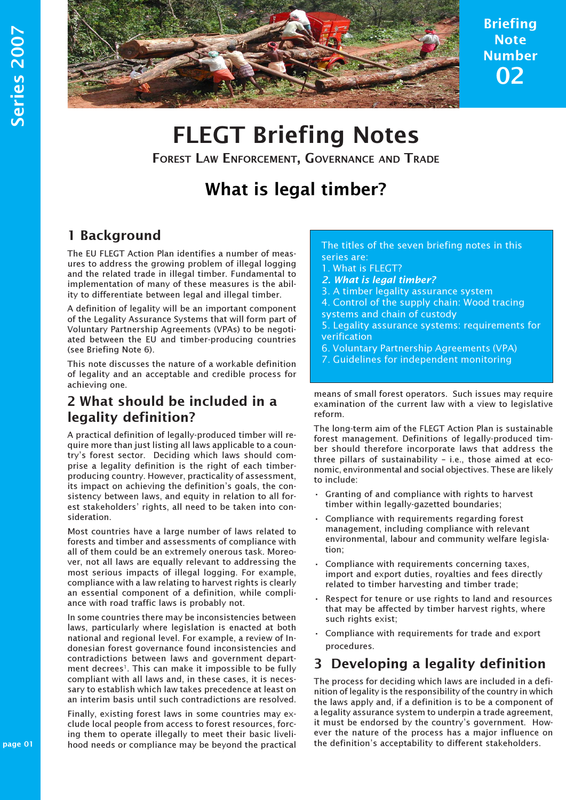

Briefing Note Number 02

# FLEGT Briefing Notes

FOREST LAW ENFORCEMENT, GOVERNANCE AND TRADE

## What is legal timber?

#### 1 Background

The EU FLEGT Action Plan identifies a number of measures to address the growing problem of illegal logging and the related trade in illegal timber. Fundamental to implementation of many of these measures is the ability to differentiate between legal and illegal timber.

A definition of legality will be an important component of the Legality Assurance Systems that will form part of Voluntary Partnership Agreements (VPAs) to be negotiated between the EU and timber-producing countries (see Briefing Note 6).

This note discusses the nature of a workable definition of legality and an acceptable and credible process for achieving one.

#### 2 What should be included in a legality definition?

A practical definition of legally-produced timber will require more than just listing all laws applicable to a country's forest sector. Deciding which laws should comprise a legality definition is the right of each timberproducing country. However, practicality of assessment, its impact on achieving the definition's goals, the consistency between laws, and equity in relation to all forest stakeholders' rights, all need to be taken into consideration.

Most countries have a large number of laws related to forests and timber and assessments of compliance with all of them could be an extremely onerous task. Moreover, not all laws are equally relevant to addressing the most serious impacts of illegal logging. For example, compliance with a law relating to harvest rights is clearly an essential component of a definition, while compliance with road traffic laws is probably not.

In some countries there may be inconsistencies between laws, particularly where legislation is enacted at both national and regional level. For example, a review of Indonesian forest governance found inconsistencies and contradictions between laws and government department decrees<sup>1</sup>. This can make it impossible to be fully compliant with all laws and, in these cases, it is necessary to establish which law takes precedence at least on an interim basis until such contradictions are resolved.

lı<br>P Finally, existing forest laws in some countries may exclude local people from access to forest resources, forcing them to operate illegally to meet their basic livelihood needs or compliance may be beyond the practical

#### The titles of the seven briefing notes in this series are:

- 1. What is FLEGT?
- 2. What is legal timber?
- 3. A timber legality assurance system
- 4. Control of the supply chain: Wood tracing systems and chain of custody
- 5. Legality assurance systems: requirements for verification
- 6. Voluntary Partnership Agreements (VPA)
- 7. Guidelines for independent monitoring

means of small forest operators. Such issues may require examination of the current law with a view to legislative reform.

The long-term aim of the FLEGT Action Plan is sustainable forest management. Definitions of legally-produced timber should therefore incorporate laws that address the three pillars of sustainability – i.e., those aimed at economic, environmental and social objectives. These are likely to include:

- Granting of and compliance with rights to harvest timber within legally-gazetted boundaries;
- Compliance with requirements regarding forest management, including compliance with relevant environmental, labour and community welfare legislation;
- Compliance with requirements concerning taxes, import and export duties, royalties and fees directly related to timber harvesting and timber trade;
- Respect for tenure or use rights to land and resources that may be affected by timber harvest rights, where such rights exist;
- · Compliance with requirements for trade and export procedures.

### 3 Developing a legality definition

The process for deciding which laws are included in a definition of legality is the responsibility of the country in which the laws apply and, if a definition is to be a component of a legality assurance system to underpin a trade agreement, it must be endorsed by the country's government. However the nature of the process has a major influence on the definition's acceptability to different stakeholders.